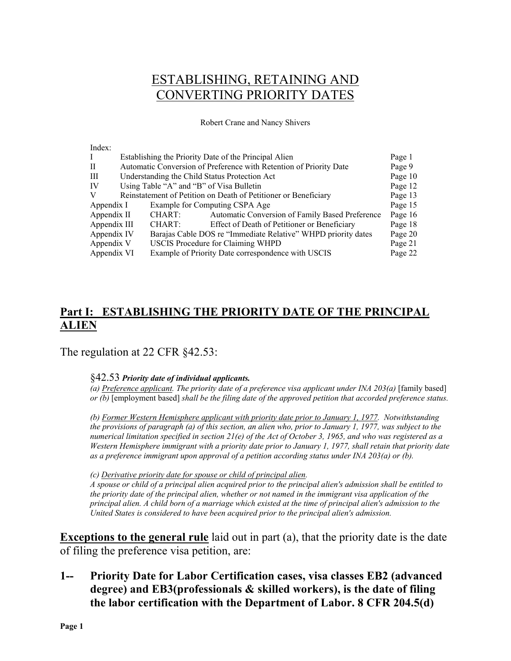# ESTABLISHING, RETAINING AND CONVERTING PRIORITY DATES

Robert Crane and Nancy Shivers

#### Index:

|                                                               | Page 1                                                                                                                                                                                                                                                                                      |
|---------------------------------------------------------------|---------------------------------------------------------------------------------------------------------------------------------------------------------------------------------------------------------------------------------------------------------------------------------------------|
|                                                               | Page 9                                                                                                                                                                                                                                                                                      |
|                                                               | Page 10                                                                                                                                                                                                                                                                                     |
|                                                               | Page 12                                                                                                                                                                                                                                                                                     |
|                                                               | Page 13                                                                                                                                                                                                                                                                                     |
| Example for Computing CSPA Age                                | Page 15                                                                                                                                                                                                                                                                                     |
| CHART:<br>Automatic Conversion of Family Based Preference     | Page 16                                                                                                                                                                                                                                                                                     |
| Effect of Death of Petitioner or Beneficiary<br>CHART:        | Page 18                                                                                                                                                                                                                                                                                     |
| Barajas Cable DOS re "Immediate Relative" WHPD priority dates | Page 20                                                                                                                                                                                                                                                                                     |
| <b>USCIS Procedure for Claiming WHPD</b>                      | Page 21                                                                                                                                                                                                                                                                                     |
| Example of Priority Date correspondence with USCIS            | Page 22                                                                                                                                                                                                                                                                                     |
|                                                               | Establishing the Priority Date of the Principal Alien<br>Automatic Conversion of Preference with Retention of Priority Date<br>Understanding the Child Status Protection Act<br>Using Table "A" and "B" of Visa Bulletin<br>Reinstatement of Petition on Death of Petitioner or Beneficiary |

# **Part I: ESTABLISHING THE PRIORITY DATE OF THE PRINCIPAL ALIEN**

#### The regulation at 22 CFR §42.53:

#### §42.53 *Priority date of individual applicants.*

(a) Preference applicant. The priority date of a preference visa applicant under INA 203(a) [family based] *or (b)* [employment based] *shall be the filing date of the approved petition that accorded preference status.* 

 *(b) Former Western Hemisphere applicant with priority date prior to January 1, 1977. Notwithstanding the provisions of paragraph (a) of this section, an alien who, prior to January 1, 1977, was subject to the numerical limitation specified in section 21(e) of the Act of October 3, 1965, and who was registered as a Western Hemisphere immigrant with a priority date prior to January 1, 1977, shall retain that priority date as a preference immigrant upon approval of a petition according status under INA 203(a) or (b).*

 *(c) Derivative priority date for spouse or child of principal alien.* 

*A spouse or child of a principal alien acquired prior to the principal alien's admission shall be entitled to the priority date of the principal alien, whether or not named in the immigrant visa application of the principal alien. A child born of a marriage which existed at the time of principal alien's admission to the United States is considered to have been acquired prior to the principal alien's admission.*

**Exceptions to the general rule** laid out in part (a), that the priority date is the date of filing the preference visa petition, are:

**1-- Priority Date for Labor Certification cases, visa classes EB2 (advanced degree) and EB3(professionals & skilled workers), is the date of filing the labor certification with the Department of Labor. 8 CFR 204.5(d)**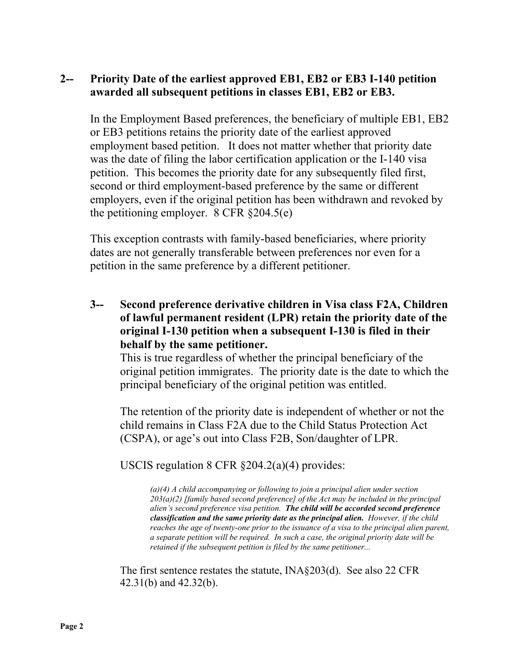# **2-- Priority Date of the earliest approved EB1, EB2 or EB3 I-140 petition awarded all subsequent petitions in classes EB1, EB2 or EB3.**

In the Employment Based preferences, the beneficiary of multiple EB1, EB2 or EB3 petitions retains the priority date of the earliest approved employment based petition. It does not matter whether that priority date was the date of filing the labor certification application or the I-140 visa petition. This becomes the priority date for any subsequently filed first, second or third employment-based preference by the same or different employers, even if the original petition has been withdrawn and revoked by the petitioning employer. 8 CFR §204.5(e)

This exception contrasts with family-based beneficiaries, where priority dates are not generally transferable between preferences nor even for a petition in the same preference by a different petitioner.

**3-- Second preference derivative children in Visa class F2A, Children of lawful permanent resident (LPR) retain the priority date of the original I-130 petition when a subsequent I-130 is filed in their behalf by the same petitioner.** 

 This is true regardless of whether the principal beneficiary of the original petition immigrates. The priority date is the date to which the principal beneficiary of the original petition was entitled.

 The retention of the priority date is independent of whether or not the child remains in Class F2A due to the Child Status Protection Act (CSPA), or age's out into Class F2B, Son/daughter of LPR.

USCIS regulation 8 CFR §204.2(a)(4) provides:

 *(a)(4) A child accompanying or following to join a principal alien under section 203(a)(2) [family based second preference] of the Act may be included in the principal alien's second preference visa petition. The child will be accorded second preference classification and the same priority date as the principal alien. However, if the child reaches the age of twenty-one prior to the issuance of a visa to the principal alien parent, a separate petition will be required. In such a case, the original priority date will be retained if the subsequent petition is filed by the same petitioner...*

 The first sentence restates the statute, INA§203(d). See also 22 CFR 42.31(b) and 42.32(b).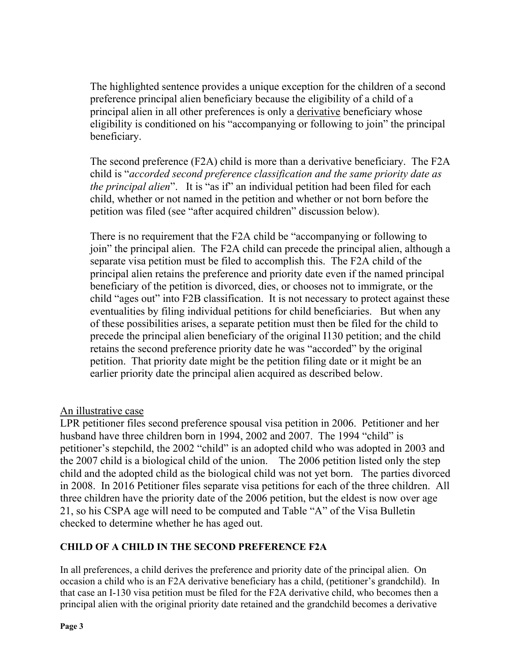The highlighted sentence provides a unique exception for the children of a second preference principal alien beneficiary because the eligibility of a child of a principal alien in all other preferences is only a derivative beneficiary whose eligibility is conditioned on his "accompanying or following to join" the principal beneficiary.

 The second preference (F2A) child is more than a derivative beneficiary. The F2A child is "*accorded second preference classification and the same priority date as the principal alien*". It is "as if" an individual petition had been filed for each child, whether or not named in the petition and whether or not born before the petition was filed (see "after acquired children" discussion below).

 There is no requirement that the F2A child be "accompanying or following to join" the principal alien. The F2A child can precede the principal alien, although a separate visa petition must be filed to accomplish this. The F2A child of the principal alien retains the preference and priority date even if the named principal beneficiary of the petition is divorced, dies, or chooses not to immigrate, or the child "ages out" into F2B classification. It is not necessary to protect against these eventualities by filing individual petitions for child beneficiaries. But when any of these possibilities arises, a separate petition must then be filed for the child to precede the principal alien beneficiary of the original I130 petition; and the child retains the second preference priority date he was "accorded" by the original petition. That priority date might be the petition filing date or it might be an earlier priority date the principal alien acquired as described below.

# An illustrative case

LPR petitioner files second preference spousal visa petition in 2006. Petitioner and her husband have three children born in 1994, 2002 and 2007. The 1994 "child" is petitioner's stepchild, the 2002 "child" is an adopted child who was adopted in 2003 and the 2007 child is a biological child of the union. The 2006 petition listed only the step child and the adopted child as the biological child was not yet born. The parties divorced in 2008. In 2016 Petitioner files separate visa petitions for each of the three children. All three children have the priority date of the 2006 petition, but the eldest is now over age 21, so his CSPA age will need to be computed and Table "A" of the Visa Bulletin checked to determine whether he has aged out.

### **CHILD OF A CHILD IN THE SECOND PREFERENCE F2A**

In all preferences, a child derives the preference and priority date of the principal alien. On occasion a child who is an F2A derivative beneficiary has a child, (petitioner's grandchild). In that case an I-130 visa petition must be filed for the F2A derivative child, who becomes then a principal alien with the original priority date retained and the grandchild becomes a derivative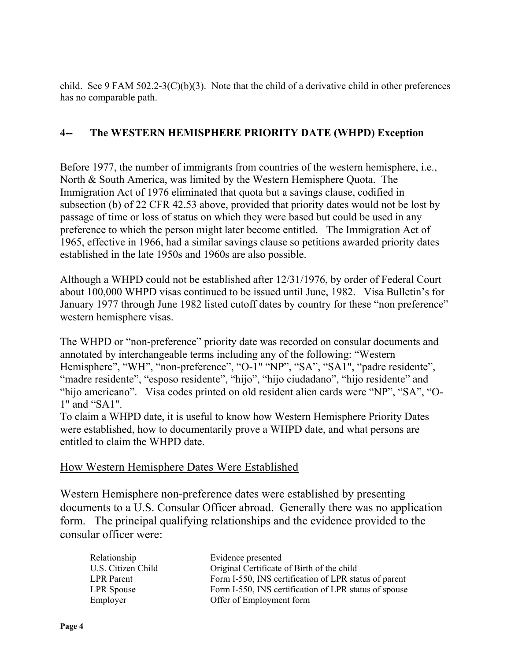child. See 9 FAM 502.2-3(C)(b)(3). Note that the child of a derivative child in other preferences has no comparable path.

# **4-- The WESTERN HEMISPHERE PRIORITY DATE (WHPD) Exception**

Before 1977, the number of immigrants from countries of the western hemisphere, i.e., North & South America, was limited by the Western Hemisphere Quota. The Immigration Act of 1976 eliminated that quota but a savings clause, codified in subsection (b) of 22 CFR 42.53 above, provided that priority dates would not be lost by passage of time or loss of status on which they were based but could be used in any preference to which the person might later become entitled. The Immigration Act of 1965, effective in 1966, had a similar savings clause so petitions awarded priority dates established in the late 1950s and 1960s are also possible.

Although a WHPD could not be established after 12/31/1976, by order of Federal Court about 100,000 WHPD visas continued to be issued until June, 1982. Visa Bulletin's for January 1977 through June 1982 listed cutoff dates by country for these "non preference" western hemisphere visas.

The WHPD or "non-preference" priority date was recorded on consular documents and annotated by interchangeable terms including any of the following: "Western Hemisphere", "WH", "non-preference", "O-1" "NP", "SA", "SA1", "padre residente", "madre residente", "esposo residente", "hijo", "hijo ciudadano", "hijo residente" and "hijo americano". Visa codes printed on old resident alien cards were "NP", "SA", "O-1" and "SA1".

To claim a WHPD date, it is useful to know how Western Hemisphere Priority Dates were established, how to documentarily prove a WHPD date, and what persons are entitled to claim the WHPD date.

# How Western Hemisphere Dates Were Established

Western Hemisphere non-preference dates were established by presenting documents to a U.S. Consular Officer abroad. Generally there was no application form. The principal qualifying relationships and the evidence provided to the consular officer were:

| Relationship       | Evidence presented                                    |
|--------------------|-------------------------------------------------------|
| U.S. Citizen Child | Original Certificate of Birth of the child            |
| <b>LPR</b> Parent  | Form I-550, INS certification of LPR status of parent |
| <b>LPR</b> Spouse  | Form I-550, INS certification of LPR status of spouse |
| Employer           | Offer of Employment form                              |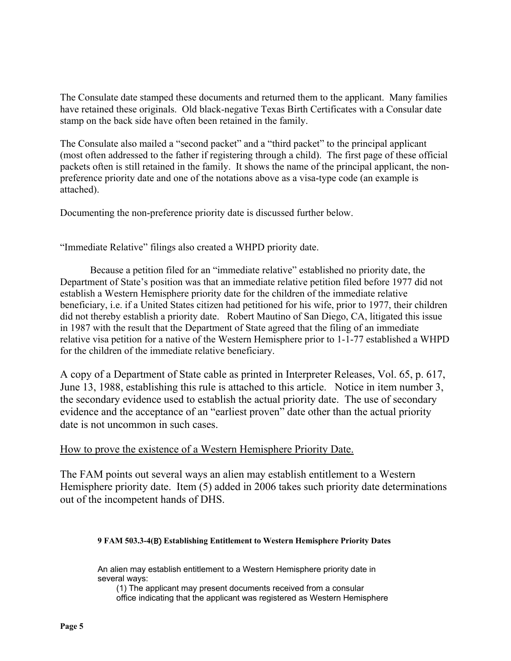The Consulate date stamped these documents and returned them to the applicant. Many families have retained these originals. Old black-negative Texas Birth Certificates with a Consular date stamp on the back side have often been retained in the family.

The Consulate also mailed a "second packet" and a "third packet" to the principal applicant (most often addressed to the father if registering through a child). The first page of these official packets often is still retained in the family. It shows the name of the principal applicant, the nonpreference priority date and one of the notations above as a visa-type code (an example is attached).

Documenting the non-preference priority date is discussed further below.

"Immediate Relative" filings also created a WHPD priority date.

 Because a petition filed for an "immediate relative" established no priority date, the Department of State's position was that an immediate relative petition filed before 1977 did not establish a Western Hemisphere priority date for the children of the immediate relative beneficiary, i.e. if a United States citizen had petitioned for his wife, prior to 1977, their children did not thereby establish a priority date. Robert Mautino of San Diego, CA, litigated this issue in 1987 with the result that the Department of State agreed that the filing of an immediate relative visa petition for a native of the Western Hemisphere prior to 1-1-77 established a WHPD for the children of the immediate relative beneficiary.

A copy of a Department of State cable as printed in Interpreter Releases, Vol. 65, p. 617, June 13, 1988, establishing this rule is attached to this article. Notice in item number 3, the secondary evidence used to establish the actual priority date. The use of secondary evidence and the acceptance of an "earliest proven" date other than the actual priority date is not uncommon in such cases.

#### How to prove the existence of a Western Hemisphere Priority Date.

The FAM points out several ways an alien may establish entitlement to a Western Hemisphere priority date. Item (5) added in 2006 takes such priority date determinations out of the incompetent hands of DHS.

#### **9 FAM 503.3-4(B) Establishing Entitlement to Western Hemisphere Priority Dates**

An alien may establish entitlement to a Western Hemisphere priority date in several ways:

(1) The applicant may present documents received from a consular office indicating that the applicant was registered as Western Hemisphere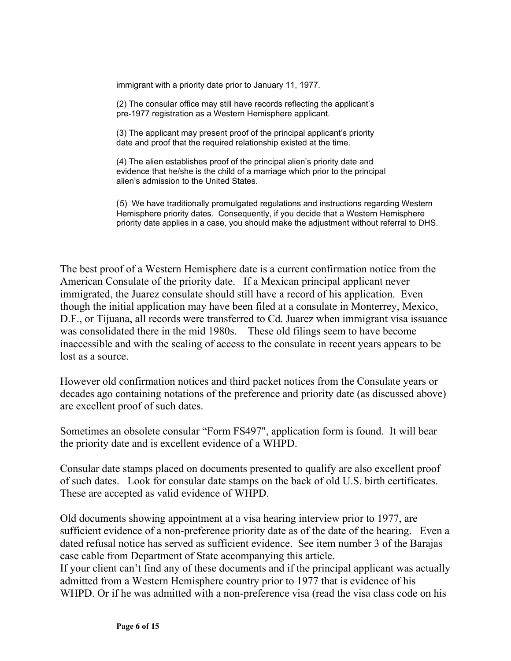immigrant with a priority date prior to January 11, 1977.

(2) The consular office may still have records reflecting the applicant's pre-1977 registration as a Western Hemisphere applicant.

(3) The applicant may present proof of the principal applicant's priority date and proof that the required relationship existed at the time.

(4) The alien establishes proof of the principal alien's priority date and evidence that he/she is the child of a marriage which prior to the principal alien's admission to the United States.

(5) We have traditionally promulgated regulations and instructions regarding Western Hemisphere priority dates. Consequently, if you decide that a Western Hemisphere priority date applies in a case, you should make the adjustment without referral to DHS.

The best proof of a Western Hemisphere date is a current confirmation notice from the American Consulate of the priority date. If a Mexican principal applicant never immigrated, the Juarez consulate should still have a record of his application. Even though the initial application may have been filed at a consulate in Monterrey, Mexico, D.F., or Tijuana, all records were transferred to Cd. Juarez when immigrant visa issuance was consolidated there in the mid 1980s. These old filings seem to have become inaccessible and with the sealing of access to the consulate in recent years appears to be lost as a source.

However old confirmation notices and third packet notices from the Consulate years or decades ago containing notations of the preference and priority date (as discussed above) are excellent proof of such dates.

Sometimes an obsolete consular "Form FS497", application form is found. It will bear the priority date and is excellent evidence of a WHPD.

Consular date stamps placed on documents presented to qualify are also excellent proof of such dates. Look for consular date stamps on the back of old U.S. birth certificates. These are accepted as valid evidence of WHPD.

Old documents showing appointment at a visa hearing interview prior to 1977, are sufficient evidence of a non-preference priority date as of the date of the hearing. Even a dated refusal notice has served as sufficient evidence. See item number 3 of the Barajas case cable from Department of State accompanying this article.

If your client can't find any of these documents and if the principal applicant was actually admitted from a Western Hemisphere country prior to 1977 that is evidence of his WHPD. Or if he was admitted with a non-preference visa (read the visa class code on his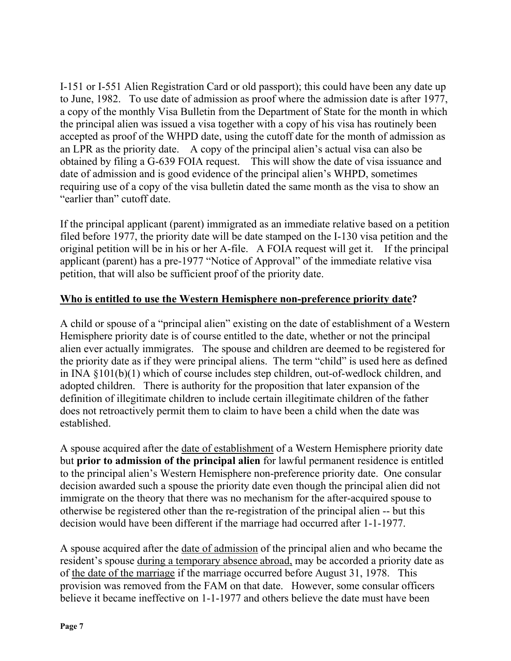I-151 or I-551 Alien Registration Card or old passport); this could have been any date up to June, 1982. To use date of admission as proof where the admission date is after 1977, a copy of the monthly Visa Bulletin from the Department of State for the month in which the principal alien was issued a visa together with a copy of his visa has routinely been accepted as proof of the WHPD date, using the cutoff date for the month of admission as an LPR as the priority date. A copy of the principal alien's actual visa can also be obtained by filing a G-639 FOIA request. This will show the date of visa issuance and date of admission and is good evidence of the principal alien's WHPD, sometimes requiring use of a copy of the visa bulletin dated the same month as the visa to show an "earlier than" cutoff date.

If the principal applicant (parent) immigrated as an immediate relative based on a petition filed before 1977, the priority date will be date stamped on the I-130 visa petition and the original petition will be in his or her A-file. A FOIA request will get it. If the principal applicant (parent) has a pre-1977 "Notice of Approval" of the immediate relative visa petition, that will also be sufficient proof of the priority date.

### **Who is entitled to use the Western Hemisphere non-preference priority date?**

A child or spouse of a "principal alien" existing on the date of establishment of a Western Hemisphere priority date is of course entitled to the date, whether or not the principal alien ever actually immigrates. The spouse and children are deemed to be registered for the priority date as if they were principal aliens. The term "child" is used here as defined in INA §101(b)(1) which of course includes step children, out-of-wedlock children, and adopted children. There is authority for the proposition that later expansion of the definition of illegitimate children to include certain illegitimate children of the father does not retroactively permit them to claim to have been a child when the date was established.

A spouse acquired after the date of establishment of a Western Hemisphere priority date but **prior to admission of the principal alien** for lawful permanent residence is entitled to the principal alien's Western Hemisphere non-preference priority date. One consular decision awarded such a spouse the priority date even though the principal alien did not immigrate on the theory that there was no mechanism for the after-acquired spouse to otherwise be registered other than the re-registration of the principal alien -- but this decision would have been different if the marriage had occurred after 1-1-1977.

A spouse acquired after the date of admission of the principal alien and who became the resident's spouse during a temporary absence abroad, may be accorded a priority date as of the date of the marriage if the marriage occurred before August 31, 1978. This provision was removed from the FAM on that date. However, some consular officers believe it became ineffective on 1-1-1977 and others believe the date must have been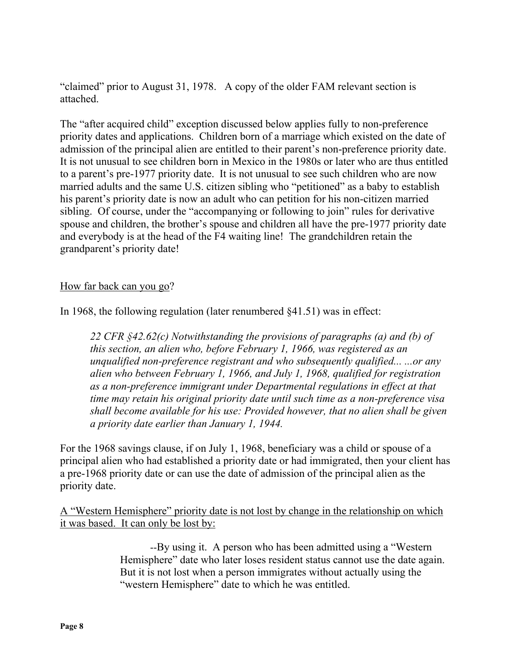"claimed" prior to August 31, 1978. A copy of the older FAM relevant section is attached.

The "after acquired child" exception discussed below applies fully to non-preference priority dates and applications. Children born of a marriage which existed on the date of admission of the principal alien are entitled to their parent's non-preference priority date. It is not unusual to see children born in Mexico in the 1980s or later who are thus entitled to a parent's pre-1977 priority date. It is not unusual to see such children who are now married adults and the same U.S. citizen sibling who "petitioned" as a baby to establish his parent's priority date is now an adult who can petition for his non-citizen married sibling. Of course, under the "accompanying or following to join" rules for derivative spouse and children, the brother's spouse and children all have the pre-1977 priority date and everybody is at the head of the F4 waiting line! The grandchildren retain the grandparent's priority date!

### How far back can you go?

In 1968, the following regulation (later renumbered §41.51) was in effect:

*22 CFR §42.62(c) Notwithstanding the provisions of paragraphs (a) and (b) of this section, an alien who, before February 1, 1966, was registered as an unqualified non-preference registrant and who subsequently qualified... ...or any alien who between February 1, 1966, and July 1, 1968, qualified for registration as a non-preference immigrant under Departmental regulations in effect at that time may retain his original priority date until such time as a non-preference visa shall become available for his use: Provided however, that no alien shall be given a priority date earlier than January 1, 1944.*

For the 1968 savings clause, if on July 1, 1968, beneficiary was a child or spouse of a principal alien who had established a priority date or had immigrated, then your client has a pre-1968 priority date or can use the date of admission of the principal alien as the priority date.

A "Western Hemisphere" priority date is not lost by change in the relationship on which it was based. It can only be lost by:

> --By using it. A person who has been admitted using a "Western Hemisphere" date who later loses resident status cannot use the date again. But it is not lost when a person immigrates without actually using the "western Hemisphere" date to which he was entitled.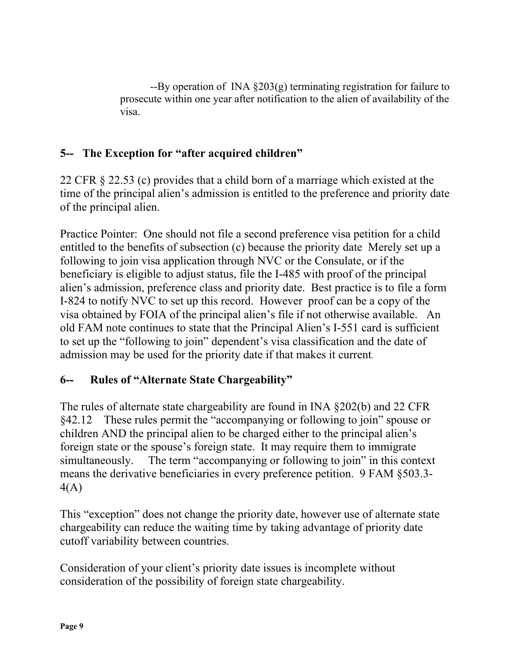--By operation of INA §203(g) terminating registration for failure to prosecute within one year after notification to the alien of availability of the visa.

# **5-- The Exception for "after acquired children"**

22 CFR § 22.53 (c) provides that a child born of a marriage which existed at the time of the principal alien's admission is entitled to the preference and priority date of the principal alien.

Practice Pointer: One should not file a second preference visa petition for a child entitled to the benefits of subsection (c) because the priority date Merely set up a following to join visa application through NVC or the Consulate, or if the beneficiary is eligible to adjust status, file the I-485 with proof of the principal alien's admission, preference class and priority date. Best practice is to file a form I-824 to notify NVC to set up this record. However proof can be a copy of the visa obtained by FOIA of the principal alien's file if not otherwise available. An old FAM note continues to state that the Principal Alien's I-551 card is sufficient to set up the "following to join" dependent's visa classification and the date of admission may be used for the priority date if that makes it current.

# **6-- Rules of "Alternate State Chargeability"**

The rules of alternate state chargeability are found in INA §202(b) and 22 CFR §42.12 These rules permit the "accompanying or following to join" spouse or children AND the principal alien to be charged either to the principal alien's foreign state or the spouse's foreign state. It may require them to immigrate simultaneously. The term "accompanying or following to join" in this context means the derivative beneficiaries in every preference petition. 9 FAM §503.3- 4(A)

This "exception" does not change the priority date, however use of alternate state chargeability can reduce the waiting time by taking advantage of priority date cutoff variability between countries.

Consideration of your client's priority date issues is incomplete without consideration of the possibility of foreign state chargeability.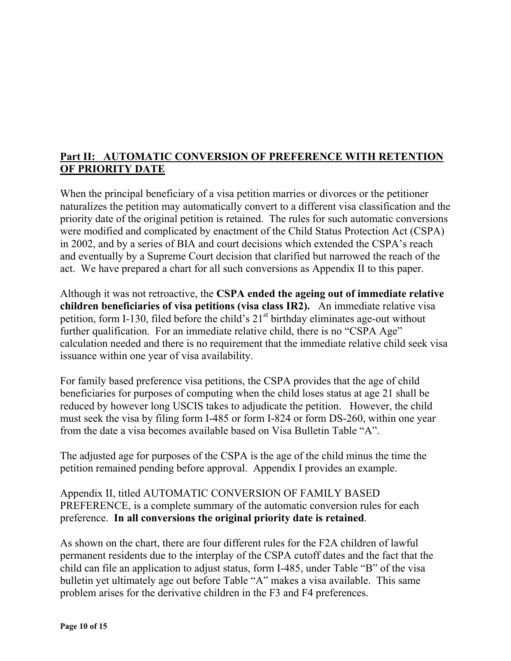# **Part II: AUTOMATIC CONVERSION OF PREFERENCE WITH RETENTION OF PRIORITY DATE**

When the principal beneficiary of a visa petition marries or divorces or the petitioner naturalizes the petition may automatically convert to a different visa classification and the priority date of the original petition is retained. The rules for such automatic conversions were modified and complicated by enactment of the Child Status Protection Act (CSPA) in 2002, and by a series of BIA and court decisions which extended the CSPA's reach and eventually by a Supreme Court decision that clarified but narrowed the reach of the act. We have prepared a chart for all such conversions as Appendix II to this paper.

Although it was not retroactive, the **CSPA ended the ageing out of immediate relative children beneficiaries of visa petitions (visa class IR2).** An immediate relative visa petition, form I-130, filed before the child's  $21<sup>st</sup>$  birthday eliminates age-out without further qualification. For an immediate relative child, there is no "CSPA Age" calculation needed and there is no requirement that the immediate relative child seek visa issuance within one year of visa availability.

For family based preference visa petitions, the CSPA provides that the age of child beneficiaries for purposes of computing when the child loses status at age 21 shall be reduced by however long USCIS takes to adjudicate the petition. However, the child must seek the visa by filing form I-485 or form I-824 or form DS-260, within one year from the date a visa becomes available based on Visa Bulletin Table "A".

The adjusted age for purposes of the CSPA is the age of the child minus the time the petition remained pending before approval. Appendix I provides an example.

Appendix II, titled AUTOMATIC CONVERSION OF FAMILY BASED PREFERENCE, is a complete summary of the automatic conversion rules for each preference. **In all conversions the original priority date is retained**.

As shown on the chart, there are four different rules for the F2A children of lawful permanent residents due to the interplay of the CSPA cutoff dates and the fact that the child can file an application to adjust status, form I-485, under Table "B" of the visa bulletin yet ultimately age out before Table "A" makes a visa available. This same problem arises for the derivative children in the F3 and F4 preferences.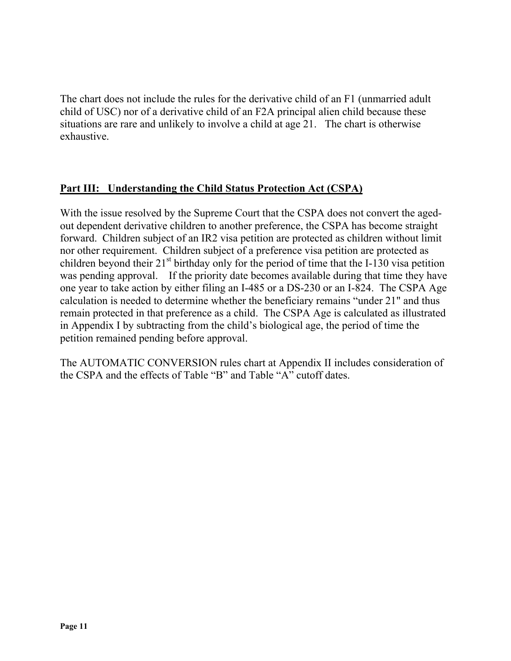The chart does not include the rules for the derivative child of an F1 (unmarried adult child of USC) nor of a derivative child of an F2A principal alien child because these situations are rare and unlikely to involve a child at age 21. The chart is otherwise exhaustive.

### **Part III: Understanding the Child Status Protection Act (CSPA)**

With the issue resolved by the Supreme Court that the CSPA does not convert the agedout dependent derivative children to another preference, the CSPA has become straight forward. Children subject of an IR2 visa petition are protected as children without limit nor other requirement. Children subject of a preference visa petition are protected as children beyond their  $21<sup>st</sup>$  birthday only for the period of time that the I-130 visa petition was pending approval. If the priority date becomes available during that time they have one year to take action by either filing an I-485 or a DS-230 or an I-824. The CSPA Age calculation is needed to determine whether the beneficiary remains "under 21" and thus remain protected in that preference as a child. The CSPA Age is calculated as illustrated in Appendix I by subtracting from the child's biological age, the period of time the petition remained pending before approval.

The AUTOMATIC CONVERSION rules chart at Appendix II includes consideration of the CSPA and the effects of Table "B" and Table "A" cutoff dates.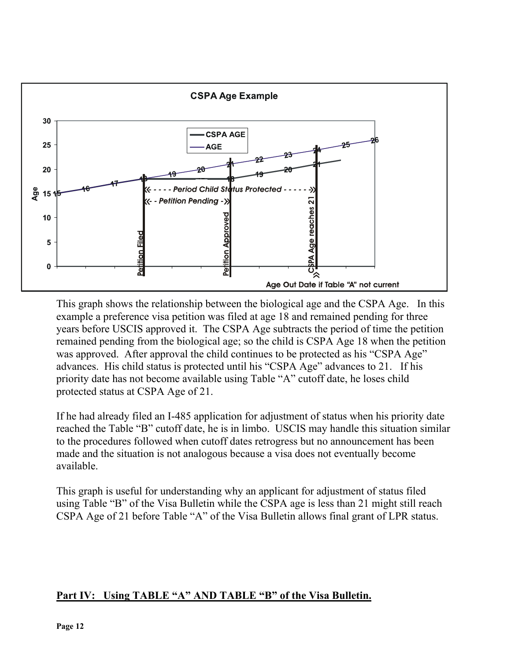

This graph shows the relationship between the biological age and the CSPA Age. In this example a preference visa petition was filed at age 18 and remained pending for three years before USCIS approved it. The CSPA Age subtracts the period of time the petition remained pending from the biological age; so the child is CSPA Age 18 when the petition was approved. After approval the child continues to be protected as his "CSPA Age" advances. His child status is protected until his "CSPA Age" advances to 21. If his priority date has not become available using Table "A" cutoff date, he loses child protected status at CSPA Age of 21.

If he had already filed an I-485 application for adjustment of status when his priority date reached the Table "B" cutoff date, he is in limbo. USCIS may handle this situation similar to the procedures followed when cutoff dates retrogress but no announcement has been made and the situation is not analogous because a visa does not eventually become available.

This graph is useful for understanding why an applicant for adjustment of status filed using Table "B" of the Visa Bulletin while the CSPA age is less than 21 might still reach CSPA Age of 21 before Table "A" of the Visa Bulletin allows final grant of LPR status.

# **Part IV: Using TABLE "A" AND TABLE "B" of the Visa Bulletin.**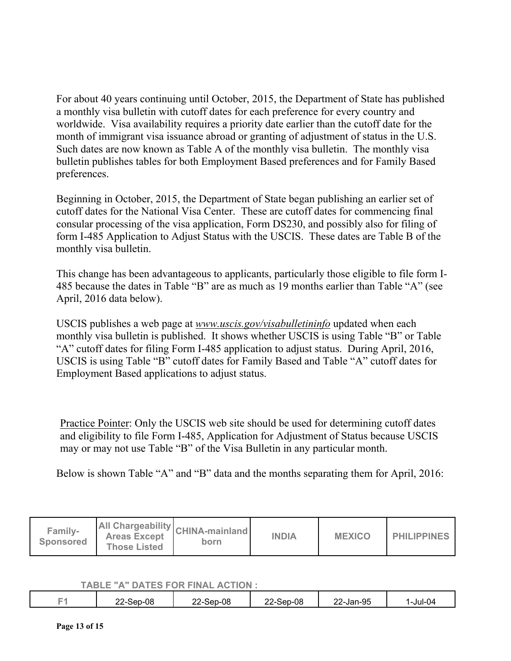For about 40 years continuing until October, 2015, the Department of State has published a monthly visa bulletin with cutoff dates for each preference for every country and worldwide. Visa availability requires a priority date earlier than the cutoff date for the month of immigrant visa issuance abroad or granting of adjustment of status in the U.S. Such dates are now known as Table A of the monthly visa bulletin. The monthly visa bulletin publishes tables for both Employment Based preferences and for Family Based preferences.

Beginning in October, 2015, the Department of State began publishing an earlier set of cutoff dates for the National Visa Center. These are cutoff dates for commencing final consular processing of the visa application, Form DS230, and possibly also for filing of form I-485 Application to Adjust Status with the USCIS. These dates are Table B of the monthly visa bulletin.

This change has been advantageous to applicants, particularly those eligible to file form I-485 because the dates in Table "B" are as much as 19 months earlier than Table "A" (see April, 2016 data below).

USCIS publishes a web page at *www.uscis.gov/visabulletininfo* updated when each monthly visa bulletin is published. It shows whether USCIS is using Table "B" or Table "A" cutoff dates for filing Form I-485 application to adjust status. During April, 2016, USCIS is using Table "B" cutoff dates for Family Based and Table "A" cutoff dates for Employment Based applications to adjust status.

Practice Pointer: Only the USCIS web site should be used for determining cutoff dates and eligibility to file Form I-485, Application for Adjustment of Status because USCIS may or may not use Table "B" of the Visa Bulletin in any particular month.

Below is shown Table "A" and "B" data and the months separating them for April, 2016:

| All Chargeability CHINA-mainland<br>Family-<br><b>Areas Except</b><br><b>Sponsored</b><br><b>Those Listed</b> | born | <b>INDIA</b> | <b>MEXICO</b> | <b>I PHILIPPINES</b> |
|---------------------------------------------------------------------------------------------------------------|------|--------------|---------------|----------------------|
|---------------------------------------------------------------------------------------------------------------|------|--------------|---------------|----------------------|

 **TABLE "A" DATES FOR FINAL ACTION :**

| Sep-08<br><u>__</u> | Sep-08<br>nn<br><i>—</i><br>▵ | 3ep-08<br>cc | 2-Jan-95<br>$\sim$ | ⊣-Jul-0∕ |
|---------------------|-------------------------------|--------------|--------------------|----------|
|                     |                               |              |                    |          |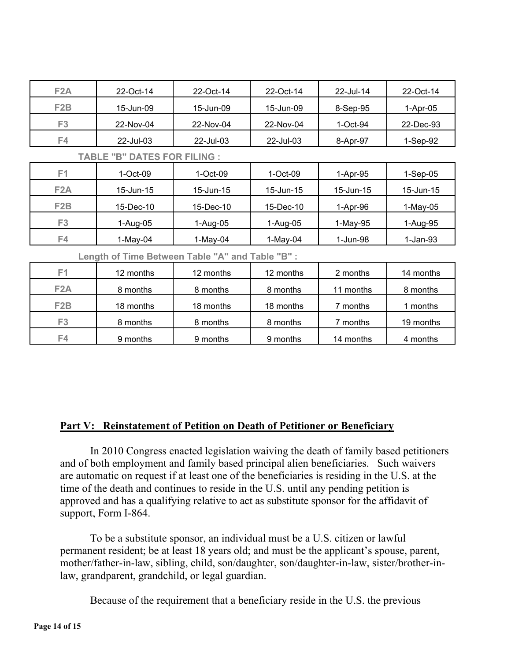| F <sub>2</sub> A | 22-Oct-14                                        | 22-Oct-14  | 22-Oct-14  | 22-Jul-14   | 22-Oct-14  |
|------------------|--------------------------------------------------|------------|------------|-------------|------------|
| F <sub>2</sub> B | 15-Jun-09                                        | 15-Jun-09  | 15-Jun-09  | 8-Sep-95    | $1-Apr-05$ |
| F <sub>3</sub>   | 22-Nov-04                                        | 22-Nov-04  | 22-Nov-04  | $1$ -Oct-94 | 22-Dec-93  |
| F4               | 22-Jul-03                                        | 22-Jul-03  | 22-Jul-03  | 8-Apr-97    | 1-Sep-92   |
|                  | <b>TABLE "B" DATES FOR FILING :</b>              |            |            |             |            |
| F1               | $1-Oct-09$                                       | $1-Oct-09$ | $1-Oct-09$ | 1-Apr-95    | $1-Sep-05$ |
| F <sub>2</sub> A | 15-Jun-15                                        | 15-Jun-15  | 15-Jun-15  | 15-Jun-15   | 15-Jun-15  |
| F <sub>2</sub> B | 15-Dec-10                                        | 15-Dec-10  | 15-Dec-10  | 1-Apr-96    | $1-May-05$ |
| F <sub>3</sub>   | $1-Aug-05$                                       | 1-Aug-05   | 1-Aug-05   | 1-May-95    | 1-Aug-95   |
| F4               | $1-May-04$                                       | $1-May-04$ | $1-May-04$ | 1-Jun-98    | $1-Jan-93$ |
|                  | Length of Time Between Table "A" and Table "B" : |            |            |             |            |
| F1               | 12 months                                        | 12 months  | 12 months  | 2 months    | 14 months  |
| F <sub>2</sub> A | 8 months                                         | 8 months   | 8 months   | 11 months   | 8 months   |
| F <sub>2</sub> B | 18 months                                        | 18 months  | 18 months  | 7 months    | 1 months   |
| F <sub>3</sub>   | 8 months                                         | 8 months   | 8 months   | 7 months    | 19 months  |
| F4               | 9 months                                         | 9 months   | 9 months   | 14 months   | 4 months   |

#### **Part V: Reinstatement of Petition on Death of Petitioner or Beneficiary**

 In 2010 Congress enacted legislation waiving the death of family based petitioners and of both employment and family based principal alien beneficiaries. Such waivers are automatic on request if at least one of the beneficiaries is residing in the U.S. at the time of the death and continues to reside in the U.S. until any pending petition is approved and has a qualifying relative to act as substitute sponsor for the affidavit of support, Form I-864.

 To be a substitute sponsor, an individual must be a U.S. citizen or lawful permanent resident; be at least 18 years old; and must be the applicant's spouse, parent, mother/father-in-law, sibling, child, son/daughter, son/daughter-in-law, sister/brother-inlaw, grandparent, grandchild, or legal guardian.

Because of the requirement that a beneficiary reside in the U.S. the previous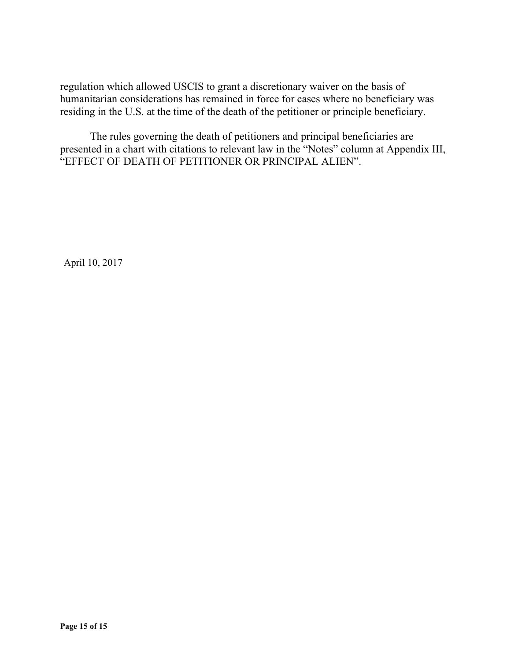regulation which allowed USCIS to grant a discretionary waiver on the basis of humanitarian considerations has remained in force for cases where no beneficiary was residing in the U.S. at the time of the death of the petitioner or principle beneficiary.

 The rules governing the death of petitioners and principal beneficiaries are presented in a chart with citations to relevant law in the "Notes" column at Appendix III, "EFFECT OF DEATH OF PETITIONER OR PRINCIPAL ALIEN".

April 10, 2017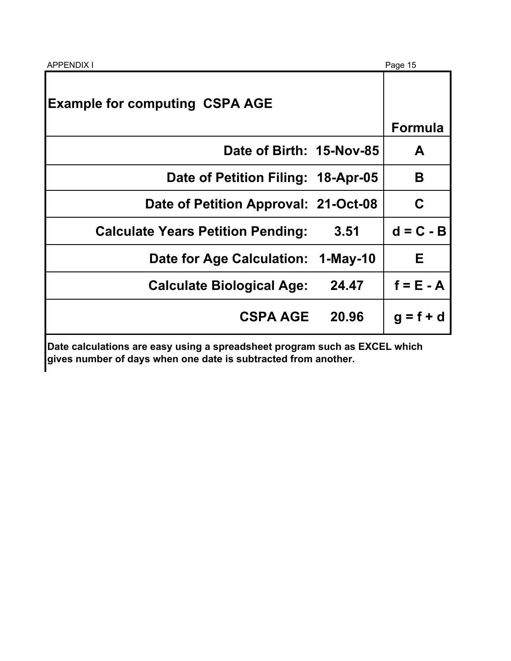| <b>Example for computing CSPA AGE</b>            |                |
|--------------------------------------------------|----------------|
|                                                  | <b>Formula</b> |
| Date of Birth: 15-Nov-85                         | A              |
| Date of Petition Filing: 18-Apr-05               | B              |
| Date of Petition Approval: 21-Oct-08             | C              |
| <b>Calculate Years Petition Pending:</b><br>3.51 | $d = C - B$    |
| Date for Age Calculation: 1-May-10               | Е              |
| 24.47<br><b>Calculate Biological Age:</b>        | $f = E - A$    |
| <b>CSPA AGE</b><br>20.96                         | $q = f + d$    |

**Date calculations are easy using a spreadsheet program such as EXCEL which gives number of days when one date is subtracted from another.**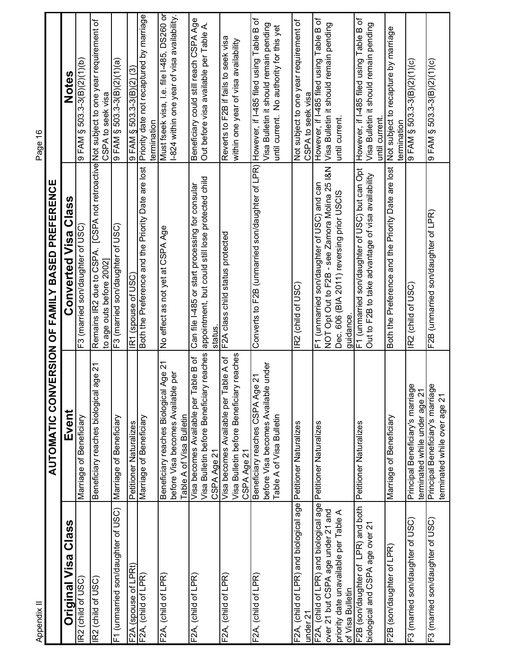|   | í                                                             |
|---|---------------------------------------------------------------|
|   | ì                                                             |
|   |                                                               |
|   |                                                               |
|   | ֖֦֧ׅ֦֧ׅ֧֧ׅ֧֪ׅ֪֪ׅ֖֧֚֚֚֚֚֚֚֚֚֚֚֡֕֓֡֡֜֓֡֡֜֓֡֬֝֬֝֓֬֝֬֓֝֬֜֓֓֝֬֓֓֬֝ |
|   |                                                               |
| ć |                                                               |
|   |                                                               |

Page 16 Appendix II Page 16

|                                                                                                    | AUTOMATIC CONV                                                                                            | <b>ERSION OF FAMILY BASED PREFERENCE</b>                                                                          |                                                                                                      |
|----------------------------------------------------------------------------------------------------|-----------------------------------------------------------------------------------------------------------|-------------------------------------------------------------------------------------------------------------------|------------------------------------------------------------------------------------------------------|
| Original Visa Class                                                                                | Event                                                                                                     | <b>Converted Visa Class</b>                                                                                       | <b>Notes</b>                                                                                         |
| IR2 (child of USC)                                                                                 | Marriage of Beneficiary                                                                                   | F3 (married son/daughter of USC)                                                                                  | $9$ FAM § 503.3-3(B)(2)(1)(b)                                                                        |
| IR2 (child of USC)                                                                                 | Beneficiary reaches biological age 21                                                                     | Remains IR2 due to CSPA. [CSPA not retroactive Not subject to one year requirement of<br>to age outs before 2002] | CSPA to seek visa                                                                                    |
| F1 (unmarried son/daughter of USC)                                                                 | Marriage of Beneficiary                                                                                   | F3 (married son/daughter of USC)                                                                                  | $9$ FAM $\S$ 503.3-3(B)(2)(1)(a)                                                                     |
| F2A (spouse of LPRt)                                                                               | Petitioner Naturalizes                                                                                    | IR1 (spouse of USC)                                                                                               | 9 FAM § 503.3-3(B)(2) (3)                                                                            |
| F2A, (child of LPR)                                                                                | Marriage of Beneficiary                                                                                   | Both the Preference and the Priority Date are lost                                                                | Priority date not recaptured by marriage<br>termination                                              |
| F2A, (child of LPR)                                                                                | Beneficiary reaches Biological Age 21<br>per<br>before Visa becomes Available<br>Table A of Visa Bulletin | No effect as not yet at CSPA Age                                                                                  | Must fseek visa, I.e. file I-485, DS260 or<br>-824 within one year of visa availability.             |
| F2A, (child of LPR)                                                                                | reaches<br>Visa becomes Available per Table B of<br>Visa Bulletin before Beneficiary                      | appointment, but could still lose protected child<br>Can file I-485 or start processing for consular              | Beneficiary could still reach CSPA Age<br>Out before visa available per Table A.                     |
|                                                                                                    | CSPA Age 21                                                                                               | status.                                                                                                           |                                                                                                      |
| F2A, (child of LPR)                                                                                | reaches<br>Visa becomes Available per Table A of<br>Visa Bulletin before Beneficiary<br>CSPA Age 21       | F2A class child status protected                                                                                  | Reverts to F2B if fails to seek visa<br>within one year of visa availability                         |
| F2A, (child of LPR)                                                                                | $\overline{2}$<br>Beneficiary reaches CSPA Age                                                            | Converts to F2B (unmarried son/daughter of LPR)                                                                   | However, if I-485 filed using Table B of                                                             |
|                                                                                                    | under<br>before Visa becomes Available<br>Table A of Visa Bulletin                                        |                                                                                                                   | Visa Bulletin it should remain pending<br>until current. No authority for this yet                   |
| F2A, (child of LPR) and biological age Petitioner Naturalizes<br>under 21                          |                                                                                                           | IR2 (child of USC)                                                                                                | Not subject to one year requirement of<br>CSPA to seek visa                                          |
| F2A, (child of LPR) and biological age Petitioner Naturalizes<br>over 21 but CSPA age under 21 and |                                                                                                           | NOT Opt Out to F2B - see Zamora Molina 25 I&N<br>F1 (unmarried son/daughter of USC) and can                       | However, if I-485 filed using Table B of<br>Visa Bulletin it should remain pending                   |
| priority date unavailable per Table A<br>of Visa Bulletin                                          |                                                                                                           | Dec. 606 (BIA 2011) reversing prior USCIS<br>guidance.                                                            | until current.                                                                                       |
| F2B (son/daughter of LPR) and both<br>biological and CSPA age over 21                              | Petitioner Naturalizes                                                                                    | F1 (unmarried son/daughter of USC) but can Opt<br>Out to F2B to take advantage of visa availability               | However, if I-485 filed using Table B of<br>Visa Bulletin it should remain pending<br>until current. |
| F2B (son/daughter of LPR)                                                                          | Marriage of Beneficiary                                                                                   | Both the Preference and the Priority Date are lost                                                                | Not subject to recapture by marriage<br>termination                                                  |
| F3 (married son/daughter of USC)                                                                   | Principal Beneficiary's marriage<br>terminated while under age 21                                         | IR2 (child of USC)                                                                                                | $9$ FAM § 503.3-3(B)(2)(1)(c)                                                                        |
| F3 (married son/daughter of USC)                                                                   | Principal Beneficiary's marriage<br>terminated while over age 21                                          | F2B (unmarried son/daughter of LPR)                                                                               | 9 FAM § 503.3-8(B)(1)(c)                                                                             |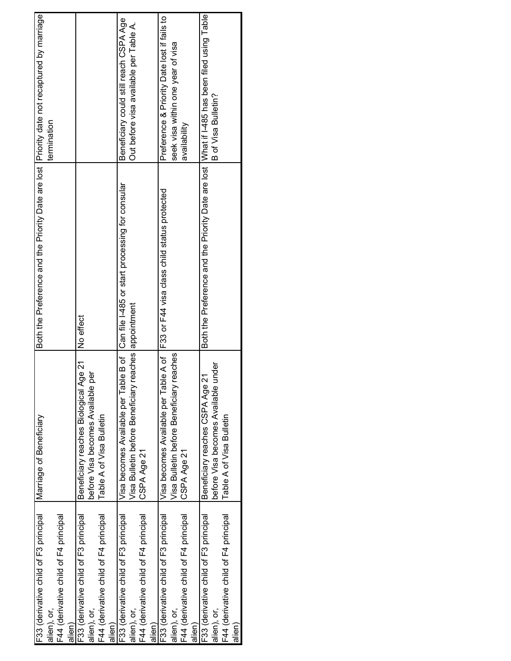| F33 (derivative child of F3 principal | Marriage of Beneficiary                     | Both the Preference and the Priority Date are lost  Priority date not recaptured by marriage |                                             |
|---------------------------------------|---------------------------------------------|----------------------------------------------------------------------------------------------|---------------------------------------------|
| alien), or,                           |                                             |                                                                                              | termination                                 |
| F44 (derivative child of F4 principal |                                             |                                                                                              |                                             |
| allen                                 |                                             |                                                                                              |                                             |
| F33 (derivative child of F3 principal | Beneficiary reaches Biological Age 21       | No effect                                                                                    |                                             |
| alien), or,                           | <u>ត្</u><br>before Visa becomes Available  |                                                                                              |                                             |
| F44 (derivative child of F4 principal | Table A of Visa Bulletin                    |                                                                                              |                                             |
| allen)                                |                                             |                                                                                              |                                             |
| F33 (derivative child of F3 principal |                                             | Visa becomes Available per Table B of   Can file I-485 or start processing for consular      | Beneficiary could still reach CSPA Age      |
| alien), or,                           | Visa Bulletin before Beneficiary            | reaches appointment                                                                          | Out before visa available per Table A.      |
| F44 (derivative child of F4 principal | CSPA Age 21                                 |                                                                                              |                                             |
| allen)                                |                                             |                                                                                              |                                             |
| F33 (derivative child of F3 principal |                                             | Visa becomes Available per Table A of [F33 or F44 visa class child status protected          | Preference & Priority Date lost if fails to |
| alien), or,                           | reaches<br>Visa Bulletin before Beneficiary |                                                                                              | seek visa within one year of visa           |
| F44 (derivative child of F4 principal | CSPA Age 21                                 |                                                                                              | availability                                |
| allen                                 |                                             |                                                                                              |                                             |
| F33 (derivative child of F3 principal | <u>인</u><br>Beneficiary reaches CSPA Age    | Both the Preference and the Priority Date are lost  What if I-485 has been filed using Table |                                             |
| alien), or,                           | under<br>before Visa becomes Available      |                                                                                              | B of Visa Bulletin?                         |
| F44 (derivative child of F4 principal | Table A of Visa Bulletin                    |                                                                                              |                                             |
| allen                                 |                                             |                                                                                              |                                             |
|                                       |                                             |                                                                                              |                                             |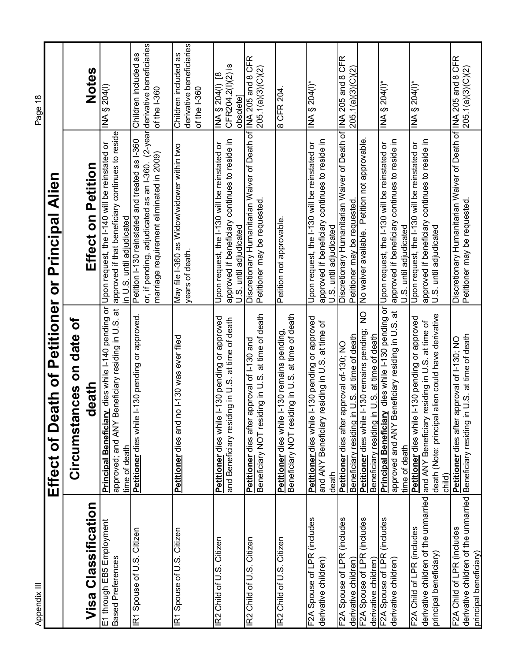| ֠                                                                            |
|------------------------------------------------------------------------------|
|                                                                              |
|                                                                              |
| ֚֚֚֬<br>I                                                                    |
|                                                                              |
|                                                                              |
|                                                                              |
|                                                                              |
|                                                                              |
|                                                                              |
|                                                                              |
|                                                                              |
|                                                                              |
|                                                                              |
|                                                                              |
|                                                                              |
|                                                                              |
|                                                                              |
|                                                                              |
|                                                                              |
|                                                                              |
|                                                                              |
|                                                                              |
|                                                                              |
|                                                                              |
|                                                                              |
|                                                                              |
|                                                                              |
|                                                                              |
|                                                                              |
|                                                                              |
|                                                                              |
|                                                                              |
|                                                                              |
|                                                                              |
|                                                                              |
|                                                                              |
|                                                                              |
|                                                                              |
|                                                                              |
|                                                                              |
|                                                                              |
|                                                                              |
|                                                                              |
|                                                                              |
|                                                                              |
|                                                                              |
|                                                                              |
|                                                                              |
|                                                                              |
|                                                                              |
|                                                                              |
|                                                                              |
|                                                                              |
|                                                                              |
|                                                                              |
|                                                                              |
|                                                                              |
|                                                                              |
|                                                                              |
|                                                                              |
|                                                                              |
|                                                                              |
|                                                                              |
|                                                                              |
|                                                                              |
|                                                                              |
|                                                                              |
|                                                                              |
| j<br>i                                                                       |
|                                                                              |
| ֠                                                                            |
| ׇ֚֘֝֬<br>$\overline{\phantom{a}}$<br>ĺ<br>l<br>$\overline{\phantom{a}}$<br>i |
| ć<br>֠                                                                       |
| ֘֒<br>ׇ֠֡֡֡֡<br>ī                                                            |
|                                                                              |

| W<br>۴<br>п | ∞ |
|-------------|---|
|             |   |
|             |   |

|                                                                                              | Effect of Death of Petitioner or Principal Alien                                                                                                                   |                                                                                                                                                                                       |                                                                  |
|----------------------------------------------------------------------------------------------|--------------------------------------------------------------------------------------------------------------------------------------------------------------------|---------------------------------------------------------------------------------------------------------------------------------------------------------------------------------------|------------------------------------------------------------------|
|                                                                                              | Circumstances on date of                                                                                                                                           |                                                                                                                                                                                       |                                                                  |
| Visa Classification                                                                          | death                                                                                                                                                              | Effect on Petition                                                                                                                                                                    | <b>Notes</b>                                                     |
| E1 through EB5 Employment<br><b>Based Preferences</b>                                        | v dies while I-140 pending or<br>approved; and ANY Beneficiary residing in U.S. at<br>Principal Beneficiar<br>time of death                                        | approved if that beneficiary continues to reside<br>Upon request, the I-140 will be reinstated or<br>in U.S. until adjudicated                                                        | INA § 204(I)                                                     |
| IR1 Spouse of U.S. Citizen                                                                   | Petitioner dies while I-130 pending or approved.                                                                                                                   | or, if pending, adjudicated as an I-360. (2-year derivative beneficiaries<br>marriage requirement eliminated in 2009) [of the I-360<br>Petition I-130 reinstated and treated as I-360 | Children included as                                             |
| IR1 Spouse of U.S. Citizen                                                                   | Petitioner dies and no I-130 was ever filed                                                                                                                        | May file I-360 as Widow/widower within two<br>years of death.                                                                                                                         | derivative beneficiaries<br>Children included as<br>of the I-360 |
| IR2 Child of U.S. Citizen                                                                    | Petitioner dies while I-130 pending or approved<br>and Beneficiary residing in U.S. at time of death                                                               | approved if beneficiary continues to reside in<br>Upon request, the I-130 will be reinstated or<br>U.S. until adjudicated                                                             | CFR204.2(1)(2) is<br>INA § 204(I)                                |
| IR2 Child of U.S. Citizen                                                                    | Petitioner dies after approval of I-130 and<br>Beneficiary NOT residing in U.S. at time of death                                                                   | U.S. until adjudicated<br>Discretionary Humanitarian Waiver of Death of <mark>INA 205 and 8 CFR</mark><br>Petitioner may be requested                                                 | 205.1(a)(3)(C)(2)                                                |
| IR2 Child of U.S. Citizen                                                                    | Beneficiary NOT residing in U.S. at time of death<br>Petitioner dies while I-130 remains pending,                                                                  | Petition not approvable.                                                                                                                                                              | 8 CFR 204.                                                       |
| F2A Spouse of LPR (includes<br>derivative children)                                          | Petitioner dies while I-130 pending or approved<br>residing in U.S. at time of<br>and ANY Beneficiary<br>death                                                     | approved if beneficiary continues to reside in<br>Upon request, the I-130 will be reinstated or<br>.S. until adjudicated<br>$\equiv$                                                  | INA § 204(1)*                                                    |
| F2A Spouse of LPR (includes<br>derivative children)                                          | n U.S. at time of death<br>approval of-130; NO<br>Beneficiary residing i<br>Petitioner dies after                                                                  | Discretionary Humanitarian Waiver of Death of INA 205 and 8 CFR<br>Petitioner may be requested                                                                                        | 205.1(a)(3)(C)(2)                                                |
| F2A Spouse of LPR (includes<br>derivative children)                                          | Petitioner dies while I-130 remains pending; NO<br>n U.S. at time of death<br>Beneficiary residing i                                                               | No waiver available. Petition not approvable                                                                                                                                          |                                                                  |
| F2A Spouse of LPR (includes<br>derivative children)                                          | Principal Beneficiary dies while I-130 pending or<br>eneficiary residing in U.S. at<br>approved and ANY B<br>time of death                                         | approved if beneficiary continues to reside in<br>Upon request, the I-130 will be reinstated or<br>U.S. until adjudicated                                                             | $M_{\odot}$ and $M_{\odot}$                                      |
| derivative children of the unmarried<br>F2A Child of LPR (includes<br>principal beneficiary) | death (Note: principal alien could have derivative<br>Petitioner dies while I-130 pending or approved<br>and ANY Beneficiary residing in U.S. at time of<br>child) | approved if beneficiary continues to reside in<br>Upon request, the I-130 will be reinstated or<br>U.S. until adjudicated                                                             | INA $\S$ 204(I)*                                                 |
| derivative children of the unmarried<br>F2A Child of LPR (includes<br>principal beneficiary) | Beneficiary residing in U.S. at time of death<br>approval of I-130; NO<br>Petitioner dies after                                                                    | Discretionary Humanitarian Waiver of Death of INA 205 and 8 CFR<br>Petitioner may be requested.                                                                                       | 205.1(a)(3)(C)(2)                                                |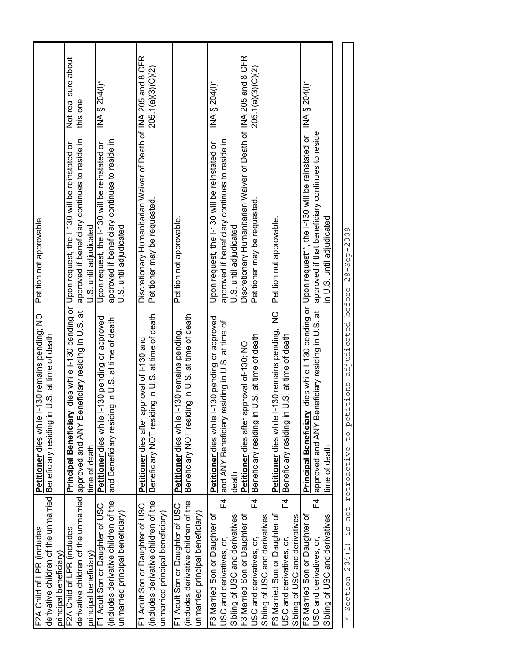| derivative children of the unmarried Beneficiary residing<br>F2A Child of LPR (includes<br>principal beneficiary) | Petitioner dies while I-130 remains pending; NO<br>in U.S. at time of death                                                   | Petition not approvable.                                                                                                                                        |                                 |
|-------------------------------------------------------------------------------------------------------------------|-------------------------------------------------------------------------------------------------------------------------------|-----------------------------------------------------------------------------------------------------------------------------------------------------------------|---------------------------------|
| F2A Child of LPR (includes<br>principal beneficiary)                                                              | derivative children of the unmarried approved and ANY Beneficiary residing in U.S. at<br>Principal Beneficia<br>time of death | approved if beneficiary continues to reside in<br>ry dies while I-130 pending or Upon request, the I-130 will be reinstated or<br>U.S. until adjudicated        | Not real sure about<br>this one |
| includes derivative children of the<br>F1 Adult Son or Daughter of USC<br>unmarried principal beneficiary)        | Petitioner dies while I-130 pending or approved<br>and Beneficiary residing in U.S. at time of death                          | approved if beneficiary continues to reside in<br>Upon request, the I-130 will be reinstated or<br>U.S. until adjudicated                                       | INA § 204(1)*                   |
| (includes derivative children of the<br>F1 Adult Son or Daughter of USC<br>unmarried principal beneficiary)       | Beneficiary NOT residing in U.S. at time of death<br>approval of 1-130 and<br><b>Petitioner</b> dies after                    | Discretionary Humanitarian Waiver of Death of INA 205 and 8 CFR<br>Petitioner may be requested                                                                  | 205.1(a)(3)(C)(2)               |
| (includes derivative children of the<br>F1 Adult Son or Daughter of USC<br>unmarried principal beneficiary)       | iding in U.S. at time of death<br>Petitioner dies while I-130 remains pending,<br>Beneficiary NOT resi                        | Petition not approvable.                                                                                                                                        |                                 |
| $F_4$<br>F3 Married Son or Daughter of<br>Sibling of USC and derivatives<br>JSC and derivatives, or,              | Petitioner dies while I-130 pending or approved<br>and ANY Beneficiary residing in U.S. at time of<br>death                   | approved if beneficiary continues to reside in<br>Upon request, the I-130 will be reinstated or<br>U.S. until adjudicated                                       | INA $\S$ 204(1)*                |
| F4<br>F3 Married Son or Daughter of<br>Sibling of USC and derivatives<br>USC and derivatives, or,                 | in U.S. at time of death<br>approval of-130; NO<br>Petitioner dies after<br>Beneficiary residing                              | Discretionary Humanitarian Waiver of Death of   INA 205 and 8 CFR<br>Petitioner may be requested                                                                | 205.1(a)(3)(C)(2)               |
| F4<br>F3 Married Son or Daughter of<br>Sibling of USC and derivatives<br>USC and derivatives, or,                 | Petitioner dies while I-130 remains pending; NO<br>in U.S. at time of death<br>Beneficiary residing                           | Petition not approvable.                                                                                                                                        |                                 |
| $F_4$<br>F3 Married Son or Daughter of<br>Sibling of USC and derivatives<br>USC and derivatives, or,              | approved and ANY Beneficiary residing in U.S. at<br>Principal Beneficia<br>time of death                                      | approved if that beneficiary continues to reside<br>ry dies while I-130 pending or Upon request**, the I-130 will be reinstated or<br>in U.S. until adjudicated | $M_{\odot}$ and $M_{\odot}$     |
| Section 204(1) is not retroactive to pe<br>$\star$                                                                | titions                                                                                                                       | adjudicated before 28-Sep-2009                                                                                                                                  |                                 |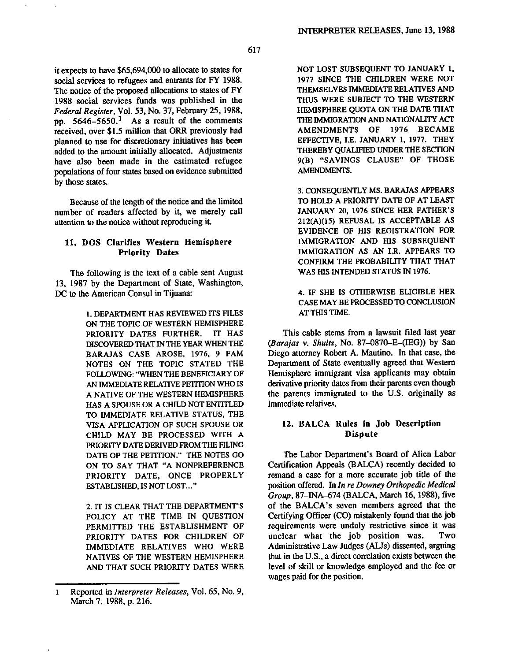it expects to have \$65,694,000 to allocate to states for social services to refugees and entrants for FY 1988. The notice of the proposed allocations to states of FY 1988 social services funds was published in the Federal Register, Vol. 53, No. 37, February 25, 1988, pp.  $5646 - 5650$ .<sup>1</sup> As a result of the comments received, over \$1.5 million that ORR previously had planned to use for discretionary initiatives has been added to the amount initially allocated. Adjustments have also been made in the estimated refugee populations of four states based on evidence submitted by those states.

Because of the length of the notice and the limited number of readers affected by it, we merely call attention to the notice without reproducing it.

#### 11. DOS Clarifies Western Hemisphere **Priority Dates**

The following is the text of a cable sent August 13, 1987 by the Department of State, Washington, DC to the American Consul in Tijuana:

> 1. DEPARTMENT HAS REVIEWED ITS FILES ON THE TOPIC OF WESTERN HEMISPHERE PRIORITY DATES FURTHER. IT HAS DISCOVERED THAT IN THE YEAR WHEN THE BARAJAS CASE AROSE, 1976, 9 FAM NOTES ON THE TOPIC STATED THE FOLLOWING: "WHEN THE BENEFICIARY OF AN IMMEDIATE RELATIVE PETITION WHO IS A NATIVE OF THE WESTERN HEMISPHERE HAS A SPOUSE OR A CHILD NOT ENTITLED TO IMMEDIATE RELATIVE STATUS, THE VISA APPLICATION OF SUCH SPOUSE OR CHILD MAY BE PROCESSED WITH A PRIORITY DATE DERIVED FROM THE FILING DATE OF THE PETTION." THE NOTES GO ON TO SAY THAT "A NONPREFERENCE PRIORITY DATE, ONCE PROPERLY **ESTABLISHED. IS NOT LOST..."**

> 2. IT IS CLEAR THAT THE DEPARTMENT'S POLICY AT THE TIME IN QUESTION PERMITTED THE ESTABLISHMENT OF PRIORITY DATES FOR CHILDREN OF IMMEDIATE RELATIVES WHO WERE NATIVES OF THE WESTERN HEMISPHERE AND THAT SUCH PRIORITY DATES WERE

NOT LOST SUBSEQUENT TO JANUARY 1, 1977 SINCE THE CHILDREN WERE NOT THEMSELVES IMMEDIATE RELATIVES AND THUS WERE SUBJECT TO THE WESTERN HEMISPHERE QUOTA ON THE DATE THAT THE IMMIGRATION AND NATIONALITY ACT AMENDMENTS OF 1976 BECAME EFFECTIVE, I.E. JANUARY 1, 1977. THEY THEREBY QUALIFIED UNDER THE SECTION 9(B) "SAVINGS CLAUSE" OF THOSE **AMENDMENTS.** 

3. CONSEQUENTLY MS. BARAJAS APPEARS TO HOLD A PRIORITY DATE OF AT LEAST JANUARY 20, 1976 SINCE HER FATHER'S 212(A)(15) REFUSAL IS ACCEPTABLE AS EVIDENCE OF HIS REGISTRATION FOR IMMIGRATION AND HIS SUBSEQUENT IMMIGRATION AS AN I.R. APPEARS TO CONFIRM THE PROBABILITY THAT THAT WAS HIS INTENDED STATUS IN 1976.

4. IF SHE IS OTHERWISE ELIGIBLE HER CASE MAY BE PROCESSED TO CONCLUSION AT THIS TIME.

This cable stems from a lawsuit filed last year (Barajas v. Shultz, No. 87-0870-E-(IEG)) by San Diego attorney Robert A. Mautino. In that case, the Department of State eventually agreed that Western Hemisphere immigrant visa applicants may obtain derivative priority dates from their parents even though the parents immigrated to the U.S. originally as immediate relatives.

#### 12. BALCA Rules in Job Description **Dispute**

The Labor Department's Board of Alien Labor Certification Appeals (BALCA) recently decided to remand a case for a more accurate job title of the position offered. In In re Downey Orthopedic Medical Group, 87-INA-674 (BALCA, March 16, 1988), five of the BALCA's seven members agreed that the Certifying Officer (CO) mistakenly found that the job requirements were unduly restrictive since it was unclear what the job position was. Two Administrative Law Judges (ALJs) dissented, arguing that in the U.S., a direct correlation exists between the level of skill or knowledge employed and the fee or wages paid for the position.

 $\mathbf{1}$ Reported in Interpreter Releases, Vol. 65, No. 9, March 7, 1988, p. 216.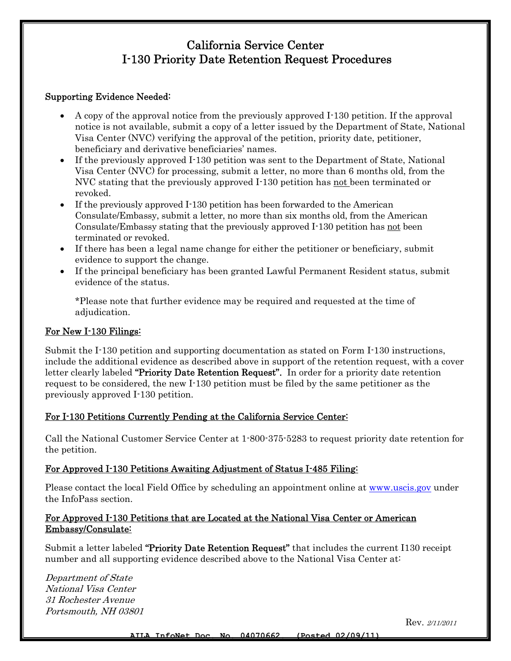# California Service Center I-130 Priority Date Retention Request Procedures

#### Supporting Evidence Needed:

- A copy of the approval notice from the previously approved I-130 petition. If the approval notice is not available, submit a copy of a letter issued by the Department of State, National Visa Center (NVC) verifying the approval of the petition, priority date, petitioner, beneficiary and derivative beneficiaries' names.
- If the previously approved I-130 petition was sent to the Department of State, National Visa Center (NVC) for processing, submit a letter, no more than 6 months old, from the NVC stating that the previously approved I-130 petition has not been terminated or revoked.
- If the previously approved I-130 petition has been forwarded to the American Consulate/Embassy, submit a letter, no more than six months old, from the American Consulate/Embassy stating that the previously approved I-130 petition has not been terminated or revoked.
- If there has been a legal name change for either the petitioner or beneficiary, submit evidence to support the change.
- If the principal beneficiary has been granted Lawful Permanent Resident status, submit evidence of the status.

\*Please note that further evidence may be required and requested at the time of adjudication.

### For New I-130 Filings:

Submit the I-130 petition and supporting documentation as stated on Form I-130 instructions, include the additional evidence as described above in support of the retention request, with a cover letter clearly labeled **"Priority Date Retention Request".** In order for a priority date retention request to be considered, the new I-130 petition must be filed by the same petitioner as the previously approved I-130 petition.

#### For I-130 Petitions Currently Pending at the California Service Center:

Call the National Customer Service Center at 1-800-375-5283 to request priority date retention for the petition.

#### For Approved I-130 Petitions Awaiting Adjustment of Status I-485 Filing:

Please contact the local Field Office by scheduling an appointment online at www.uscis.gov under the InfoPass section.

#### For Approved I-130 Petitions that are Located at the National Visa Center or American Embassy/Consulate:

Submit a letter labeled "Priority Date Retention Request" that includes the current I130 receipt number and all supporting evidence described above to the National Visa Center at:

Department of State National Visa Center 31 Rochester Avenue Portsmouth, NH 03801

Rev. 2/11/2011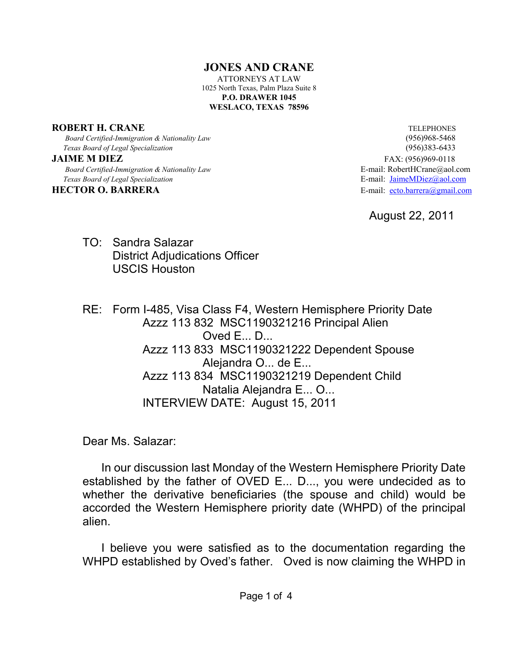#### **JONES AND CRANE** ATTORNEYS AT LAW 1025 North Texas, Palm Plaza Suite 8 **P.O. DRAWER 1045 WESLACO, TEXAS 78596**

#### **ROBERT H. CRANE** TELEPHONES

 *Board Certified-Immigration & Nationality Law* (956)968-5468 *Texas Board of Legal Specialization* (956)383-6433

 *Texas Board of Legal Specialization* E-mail: JaimeMDiez@aol.com

**JAIME M DIEZ** FAX: (956)969-0118  *Board Certified-Immigration & Nationality Law* E-mail: RobertHCrane@aol.com **HECTOR O. BARRERA** E-mail: ecto.barrera@gmail.com

August 22, 2011

TO: Sandra Salazar District Adjudications Officer USCIS Houston

RE: Form I-485, Visa Class F4, Western Hemisphere Priority Date Azzz 113 832 MSC1190321216 Principal Alien Oved F<sub>u</sub> D<sub>u</sub> Azzz 113 833 MSC1190321222 Dependent Spouse Alejandra O... de E... Azzz 113 834 MSC1190321219 Dependent Child Natalia Alejandra E... O... INTERVIEW DATE: August 15, 2011

Dear Ms. Salazar:

In our discussion last Monday of the Western Hemisphere Priority Date established by the father of OVED E... D..., you were undecided as to whether the derivative beneficiaries (the spouse and child) would be accorded the Western Hemisphere priority date (WHPD) of the principal alien.

I believe you were satisfied as to the documentation regarding the WHPD established by Oved's father. Oved is now claiming the WHPD in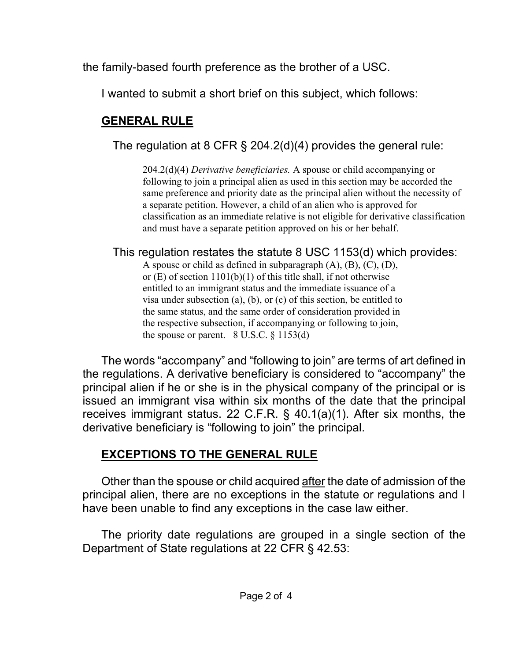the family-based fourth preference as the brother of a USC.

I wanted to submit a short brief on this subject, which follows:

# **GENERAL RULE**

The regulation at 8 CFR § 204.2(d)(4) provides the general rule:

204.2(d)(4) *Derivative beneficiaries.* A spouse or child accompanying or following to join a principal alien as used in this section may be accorded the same preference and priority date as the principal alien without the necessity of a separate petition. However, a child of an alien who is approved for classification as an immediate relative is not eligible for derivative classification and must have a separate petition approved on his or her behalf.

This regulation restates the statute 8 USC 1153(d) which provides:

A spouse or child as defined in subparagraph  $(A)$ ,  $(B)$ ,  $(C)$ ,  $(D)$ , or  $(E)$  of section 1101(b)(1) of this title shall, if not otherwise entitled to an immigrant status and the immediate issuance of a visa under subsection (a), (b), or (c) of this section, be entitled to the same status, and the same order of consideration provided in the respective subsection, if accompanying or following to join, the spouse or parent.  $8 \text{ U.S.C.} \S 1153(d)$ 

The words "accompany" and "following to join" are terms of art defined in the regulations. A derivative beneficiary is considered to "accompany" the principal alien if he or she is in the physical company of the principal or is issued an immigrant visa within six months of the date that the principal receives immigrant status. 22 C.F.R. § 40.1(a)(1). After six months, the derivative beneficiary is "following to join" the principal.

# **EXCEPTIONS TO THE GENERAL RULE**

Other than the spouse or child acquired after the date of admission of the principal alien, there are no exceptions in the statute or regulations and I have been unable to find any exceptions in the case law either.

The priority date regulations are grouped in a single section of the Department of State regulations at 22 CFR § 42.53: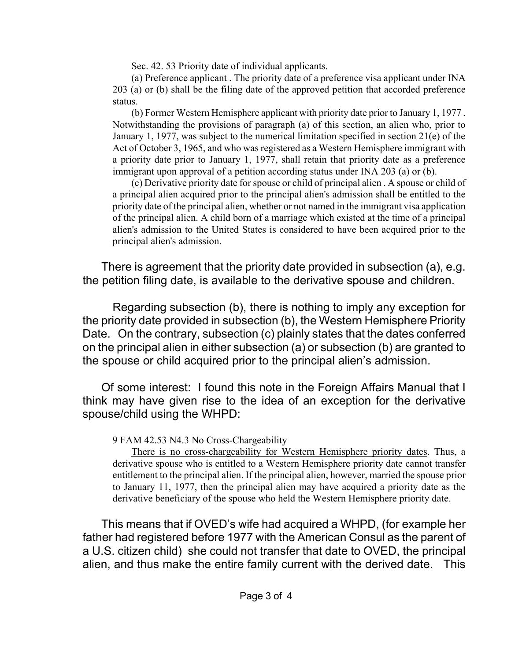Sec. 42. 53 Priority date of individual applicants.

(a) Preference applicant . The priority date of a preference visa applicant under INA 203 (a) or (b) shall be the filing date of the approved petition that accorded preference status.

(b) Former Western Hemisphere applicant with priority date prior to January 1, 1977 . Notwithstanding the provisions of paragraph (a) of this section, an alien who, prior to January 1, 1977, was subject to the numerical limitation specified in section 21(e) of the Act of October 3, 1965, and who was registered as a Western Hemisphere immigrant with a priority date prior to January 1, 1977, shall retain that priority date as a preference immigrant upon approval of a petition according status under INA 203 (a) or (b).

(c) Derivative priority date for spouse or child of principal alien . A spouse or child of a principal alien acquired prior to the principal alien's admission shall be entitled to the priority date of the principal alien, whether or not named in the immigrant visa application of the principal alien. A child born of a marriage which existed at the time of a principal alien's admission to the United States is considered to have been acquired prior to the principal alien's admission.

There is agreement that the priority date provided in subsection (a), e.g. the petition filing date, is available to the derivative spouse and children.

 Regarding subsection (b), there is nothing to imply any exception for the priority date provided in subsection (b), the Western Hemisphere Priority Date. On the contrary, subsection (c) plainly states that the dates conferred on the principal alien in either subsection (a) or subsection (b) are granted to the spouse or child acquired prior to the principal alien's admission.

Of some interest: I found this note in the Foreign Affairs Manual that I think may have given rise to the idea of an exception for the derivative spouse/child using the WHPD:

9 FAM 42.53 N4.3 No Cross-Chargeability

There is no cross-chargeability for Western Hemisphere priority dates. Thus, a derivative spouse who is entitled to a Western Hemisphere priority date cannot transfer entitlement to the principal alien. If the principal alien, however, married the spouse prior to January 11, 1977, then the principal alien may have acquired a priority date as the derivative beneficiary of the spouse who held the Western Hemisphere priority date.

This means that if OVED's wife had acquired a WHPD, (for example her father had registered before 1977 with the American Consul as the parent of a U.S. citizen child) she could not transfer that date to OVED, the principal alien, and thus make the entire family current with the derived date. This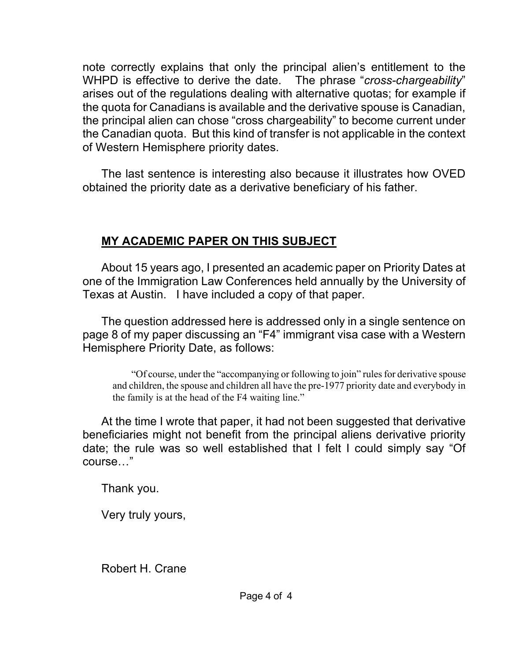note correctly explains that only the principal alien's entitlement to the WHPD is effective to derive the date. The phrase "*cross-chargeability*" arises out of the regulations dealing with alternative quotas; for example if the quota for Canadians is available and the derivative spouse is Canadian, the principal alien can chose "cross chargeability" to become current under the Canadian quota. But this kind of transfer is not applicable in the context of Western Hemisphere priority dates.

The last sentence is interesting also because it illustrates how OVED obtained the priority date as a derivative beneficiary of his father.

# **MY ACADEMIC PAPER ON THIS SUBJECT**

About 15 years ago, I presented an academic paper on Priority Dates at one of the Immigration Law Conferences held annually by the University of Texas at Austin. I have included a copy of that paper.

The question addressed here is addressed only in a single sentence on page 8 of my paper discussing an "F4" immigrant visa case with a Western Hemisphere Priority Date, as follows:

"Of course, under the "accompanying or following to join" rules for derivative spouse and children, the spouse and children all have the pre-1977 priority date and everybody in the family is at the head of the F4 waiting line."

At the time I wrote that paper, it had not been suggested that derivative beneficiaries might not benefit from the principal aliens derivative priority date; the rule was so well established that I felt I could simply say "Of course…"

Thank you.

Very truly yours,

Robert H. Crane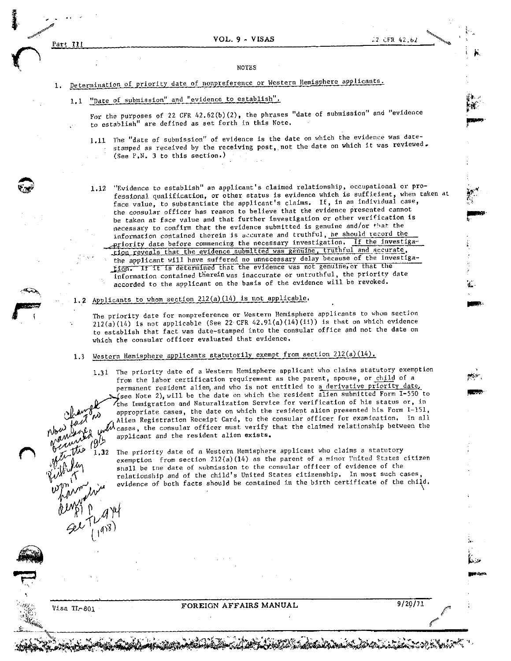Part Ill

#### VOL. 9 - VISAS

#### **NOTES**

#### Determination of priority date of nonpreference or Western Hemisphere applicants.

"Date of submission" and "evidence to establish".  $1, 1$ 

For the purposes of 22 CFR 42.62(b)(2), the phrases "date of submission" and "evidence to establish" are defined as set forth in this Note.

- 1.11 The "date of submission" of evidence is the date on which the evidence was datestamped as received by the receiving post, not the date on which it was reviewed. (See P.N. 3 to this section.)
- 1.12 "Evidence to establish" an applicant's claimed relationship, occupational or professional qualification, or other status is evidence which is sufficient, when taken at face value, to substantiate the applicant's claims. If, in an individual case, the consular officer has reason to believe that the evidence presented cannot be taken at face value and that further investigation or other verification is necessary to confirm that the evidence submitted is genuine and/or that the information contained therein is accurate and truthful, he should record the priority date before commencing the necessary investigation. If the investigation reveals that the evidence submitted was genuine, truthful and accurate, the applicant will have suffered no unnecessary delay because of the investiga-If It Is determined that the evidence was not genuine, or that the fion. information contained therein was inaccurate or untruthful, the priority date accorded to the applicant on the basis of the evidence will be revoked.
- 1.2 Applicants to whom section 212(a)(14) is not applicable.

The priority date for nonpreference or Western Hemisphere applicants to whom section  $212(a)(14)$  is not applicable (See 22 CFR 42.91(a)(14)(ii)) is that on which evidence to establish that fact was date-stamped into the consular office and not the date on which the consular officer evaluated that evidence.

- 1.3 Western Hemisphere applicants statutorily exempt from section 212(a)(14).
	- 1.31 The priority date of a Western Hemisphere applicant who claims statutory exemption from the labor certification requirement as the parent, spouse, or child of a permanent resident alien, and who is not entitled to a derivative priority date, (see Note 2), will be the date on which the resident alien submitted Form I-550 to  $\ell$ the Immigration and Naturalization Service for verification of his status or, in appropriate cases, the date on which the resident alien presented his Form I-151, Alien Registration Receipt Card, to the consular officer for examination. In all  $\lambda$  cases, the consular officer must verify that the claimed relationship between the applicant and the resident alien exists.

The priority date of a Western Hemisphere applicant who claims a statutory exemption from section  $212(a)(14)$  as the parent of a minor United States citizen shall be the date of submission to the consular officer of evidence of the relationship and of the child's United States citizenship. In most such cases, evidence of both facts should be contained in the birth certificate of the child.

Visa TL-801

#### FOREIGN AFFAIRS MANUAL

9/20/71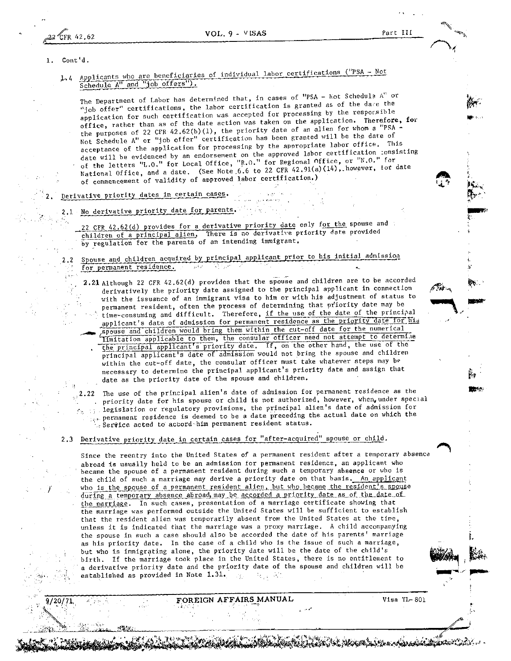1. Cont'd.

### 1.4 Applicants who are beneficiaries of individual labor certifications ("PSA - Not Schedule A" and "job offers").

The Department of Labor has determined that, in cases of "PSA - Not Schedula A" or "job offer" certifications, the labor certification is granted as of the date the application for such certification was accepted for processing by the responsible office, rather than as of the date action was taken on the application. Therefore, for the purposes of 22 CFR 42.62(b)(1), the priority date of an alien for whom a "PSA Not Schedule A" or "job offer" certification has been granted will be the date of acceptance of the application for processing by the appropriate labor office. This date will be evidenced by an endorsement on the approved labor certification consisting of the letters "L.O." for Local Office, "R.O." for Regional Office, or "N.O." for<br>National Office, and a date. (See Note 6.6 to 22 CFR 42.91(a)(14), however, for date of commencement of validity of approved labor certification.)

#### Derivative priority dates in certain cases.

#### 2.1 No derivative priority date for parents.

22 CFR 42.62(d) provides for a derivative priority date only for the spouse and children of a principal alien. There is no derivative priority date provided by regulation for the parents of an intending immigrant.

Spouse and children acquired by principal applicant prior to his initial admission for permanent residence.

- 2.21 Although 22 CFR 42.62(d) provides that the spouse and children are to be accorded derivatively the priority date assigned to the principal applicant in connection with the issuance of an immigrant visa to him or with his adjustment of status to permanent resident, often the process of determining that priority date may be time-consuming and difficult. Therefore, if the use of the date of the principal applicant's date of admission for permanent residence as the priority date for his spouse and children would bring them within the cut-off date for the numerical limitation applicable to them, the consular officer need not attempt to determine the principal applicant's priority date. If, on the other hand, the use of the principal applicant's date of admission would not bring the spouse and children within the cut-off date, the consular officer must take whatever steps may be necessary to determine the principal applicant's priority date and assign that date as the priority date of the spouse and children.
- 2.22 The use of the principal alien's date of admission for permanent residence as the priority date for his spouse or child is not authorized, however, when, under special  $\ddot{\phantom{a}}$ legislation or regulatory provisions, the principal alien's date of admission for permanent residence is deemed to be a date preceding the actual date on which the Service acted to accord him permanent resident status.

#### 2.3 Derivative priority date in certain cases for "after-acquired" spouse or child.

Since the reentry into the United States of a permanent resident after a temporary absence abroad is usually held to be an admission for permanent residence, an applicant who became the spouse of a permanent resident during such a temporary absence or who is the child of such a marriage may derive a priority date on that basis. An applicant who is the spouse of a permanent resident alien, but who became the resident's spouse during a temporary absence abroad may be accorded a priority date as of the date of the marriage. In such cases, presentation of a marriage certificate showing that the marriage was performed outside the United States will be sufficient to establish that the resident alien was temporarily absent from the United States at the time. unless it is indicated that the marriage was a proxy marriage. A child accompanying the spouse in such a case should also be accorded the date of his parents' marriage as his priority date. In the case of a child who is the issue of such a marriage, but who is immigrating alone, the priority date will be the date of the child's birth. If the marriage took place in the United States, there is no entitlement to a derivative priority date and the priority date of the spouse and children will be established as provided in Note 1.31. Regional Co 一度の

#### FOREIGN AFFAIRS MANUAL

e dom

Visa TL-801

Marin Marshall (Marin Marin

120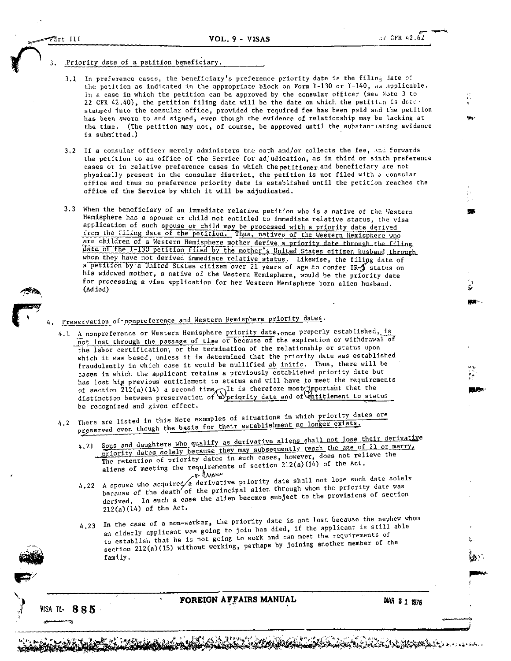- Priority date of a petition beneficiary.
	- 3.1 In preference cases, the beneficiary's preference priority date is the filing date of the petition as indicated in the appropriate block on Form I-130 or I-140, as applicable. In a case in which the petition can be approved by the consular officer (see Note 3 to 22 CFR 42.40), the petition filing date will be the date on which the petition is date. stamped into the consular office, provided the required fee has been paid and the petition has been sworn to and signed, even though the evidence of relationship may be lacking at the time. (The petition may not, of course, be approved until the substantiating evidence is submitted.)
	- 3.2 If a consular officer merely administers the oath and/or collects the fee, and forwards the petition to an office of the Service for adjudication, as in third or sixth preference cases or in relative preference cases in which the petitioner and beneficiary are not physically present in the consular district, the petition is not filed with a consular office and thus no preference priority date is established until the petition reaches the office of the Service by which it will be adjudicated.
	- 3.3 When the beneficiary of an immediate relative petition who is a native of the Western Hemisphere has a spouse or child not entitled to immediate relative status, the visa application of such spouse or child may be processed with a priority date derived from the filing date of the petition. Thus, natives of the Western Hemisphere who are children of a Western Hemisphere mother derive a priority date through the filing date of the 1-130 petition filed by the mother's United States citizen husband through whom they have not derived immediate relative status. Likewise, the filing date of a petition by a United States citizen over 21 years of age to confer IR-5 status on his widowed mother, a native of the Western Hemisphere, would be the priority date for processing a visa application for her Western Hemisphere born alien husband. (Added)
- Preservation of ponpreference and Western Hemisphere priority dates.
- 4.1 A nonpreference or Western Hemisphere priority date, once properly established, is not lost through the passage of time or because of the expiration or withdrawal of the labor certification, or the termination of the relationship or status upon which it was based, unless it is determined that the priority date was established fraudulently in which case it would be nullified ab initio. Thus, there will be cases in which the applicant retains a previously established priority date but has lost hig previous entitlement to status and will have to meet the requirements of section  $212(a)(14)$  a second time  $\bigvee_{\text{priority}}$  is therefore most important that the distinction between preservation of  $\bigvee_{\text{priority}}$  date and of  $\bigvee_{\text{entity}}$  lement to status be recognized and given effect.
- 4,2 There are listed in this Note examples of situations in which priority dates are preserved even though the basis for their establishment no longer exists.
	- Sons and daughters who qualify as derivative aliens shall not lose their derivative priority dates solely because they may subsequently reach the age of 21 or marry,  $4.21$ The retention of priority dates in such cases, however, does not relieve the aliens of meeting the requirements of section  $212(a)(14)$  of the Act. o aww
	- 4.22 A spouse who acquired a derivative priority date shall not lose such date solely because of the death of the principal alien through whom the priority date was derived. In such a case the alien becomes subject to the provisions of section  $212(a)(14)$  of the Act.
	- 4.23 In the case of a non-worker, the priority date is not lost because the nephew whom an elderly applicant was going to join has died, if the applicant is still able to establish that he is not going to work and can meet the requirements of section 212(a)(15) without working, perhaps by joining another member of the family.

VISA TL $\cdot$  885

FOREIGN AFFAIRS MANUAL

35. 7439 51 AV

MAR 3 1 1976

**MARK WAY**